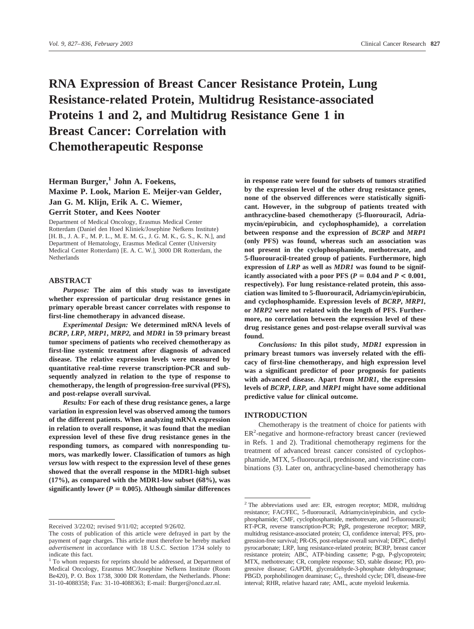# **RNA Expression of Breast Cancer Resistance Protein, Lung Resistance-related Protein, Multidrug Resistance-associated Proteins 1 and 2, and Multidrug Resistance Gene 1 in Breast Cancer: Correlation with Chemotherapeutic Response**

## **Herman Burger,**<sup>1</sup> **John A. Foekens, Maxime P. Look, Marion E. Meijer-van Gelder, Jan G. M. Klijn, Erik A. C. Wiemer, Gerrit Stoter, and Kees Nooter**

Department of Medical Oncology, Erasmus Medical Center Rotterdam (Daniel den Hoed Kliniek/Josephine Nefkens Institute) [H. B., J. A. F., M. P. L., M. E. M. G., J. G. M. K., G. S., K. N.], and Department of Hematology, Erasmus Medical Center (University Medical Center Rotterdam) [E. A. C. W.], 3000 DR Rotterdam, the **Netherlands** 

### **ABSTRACT**

*Purpose:* **The aim of this study was to investigate whether expression of particular drug resistance genes in primary operable breast cancer correlates with response to first-line chemotherapy in advanced disease.**

*Experimental Design:* **We determined mRNA levels of** *BCRP***,** *LRP***,** *MRP1***,** *MRP2,* **and** *MDR1* **in 59 primary breast tumor specimens of patients who received chemotherapy as first-line systemic treatment after diagnosis of advanced disease. The relative expression levels were measured by quantitative real-time reverse transcription-PCR and subsequently analyzed in relation to the type of response to chemotherapy, the length of progression-free survival (PFS), and post-relapse overall survival.**

*Results:* **For each of these drug resistance genes, a large variation in expression level was observed among the tumors of the different patients. When analyzing mRNA expression in relation to overall response, it was found that the median expression level of these five drug resistance genes in the responding tumors, as compared with nonresponding tumors, was markedly lower. Classification of tumors as high** *versus* **low with respect to the expression level of these genes showed that the overall response in the MDR1-high subset (17%), as compared with the MDR1-low subset (68%), was** significantly lower ( $P = 0.005$ ). Although similar differences

**in response rate were found for subsets of tumors stratified by the expression level of the other drug resistance genes, none of the observed differences were statistically significant. However, in the subgroup of patients treated with anthracycline-based chemotherapy (5-fluorouracil, Adriamycin/epirubicin, and cyclophosphamide), a correlation between response and the expression of** *BCRP* **and** *MRP1* **(only PFS) was found, whereas such an association was not present in the cyclophosphamide, methotrexate, and 5-fluorouracil-treated group of patients. Furthermore, high expression of** *LRP* **as well as** *MDR1* **was found to be significantly associated with a poor PFS (** $P = 0.04$  **and**  $P < 0.001$ **, respectively). For lung resistance-related protein, this association was limited to 5-fluorouracil, Adriamycin/epirubicin, and cyclophosphamide. Expression levels of** *BCRP***,** *MRP1,* **or** *MRP2* **were not related with the length of PFS. Furthermore, no correlation between the expression level of these drug resistance genes and post-relapse overall survival was found.**

*Conclusions:* **In this pilot study,** *MDR1* **expression in primary breast tumors was inversely related with the efficacy of first-line chemotherapy, and high expression level was a significant predictor of poor prognosis for patients with advanced disease. Apart from** *MDR1***, the expression levels of** *BCRP***,** *LRP,* **and** *MRP1* **might have some additional predictive value for clinical outcome.**

### **INTRODUCTION**

Chemotherapy is the treatment of choice for patients with ER<sup>2</sup>-negative and hormone-refractory breast cancer (reviewed in Refs. 1 and 2). Traditional chemotherapy regimens for the treatment of advanced breast cancer consisted of cyclophosphamide, MTX, 5-fluorouracil, prednisone, and vincristine combinations (3). Later on, anthracycline-based chemotherapy has

Received 3/22/02; revised 9/11/02; accepted 9/26/02.

The costs of publication of this article were defrayed in part by the payment of page charges. This article must therefore be hereby marked *advertisement* in accordance with 18 U.S.C. Section 1734 solely to indicate this fact.

<sup>&</sup>lt;sup>1</sup> To whom requests for reprints should be addressed, at Department of Medical Oncology, Erasmus MC/Josephine Nefkens Institute (Room Be420), P. O. Box 1738, 3000 DR Rotterdam, the Netherlands. Phone: 31-10-4088358; Fax: 31-10-4088363; E-mail: Burger@oncd.azr.nl.

<sup>&</sup>lt;sup>2</sup> The abbreviations used are: ER, estrogen receptor; MDR, multidrug resistance; FAC/FEC, 5-fluorouracil, Adriamycin/epirubicin, and cyclophosphamide; CMF, cyclophosphamide, methotrexate, and 5-fluorouracil; RT-PCR, reverse transcription-PCR; PgR, progesterone receptor; MRP, multidrug resistance-associated protein; CI, confidence interval; PFS, progression-free survival; PR-OS, post-relapse overall survival; DEPC, diethyl pyrocarbonate; LRP, lung resistance-related protein; BCRP, breast cancer resistance protein; ABC, ATP-binding cassette; P-gp, P-glycoprotein; MTX, methotrexate; CR, complete response; SD, stable disease; PD, progressive disease; GAPDH, glyceraldehyde-3-phosphate dehydrogenase; PBGD, porphobilinogen deaminase;  $C_T$ , threshold cycle; DFI, disease-free interval; RHR, relative hazard rate; AML, acute myeloid leukemia.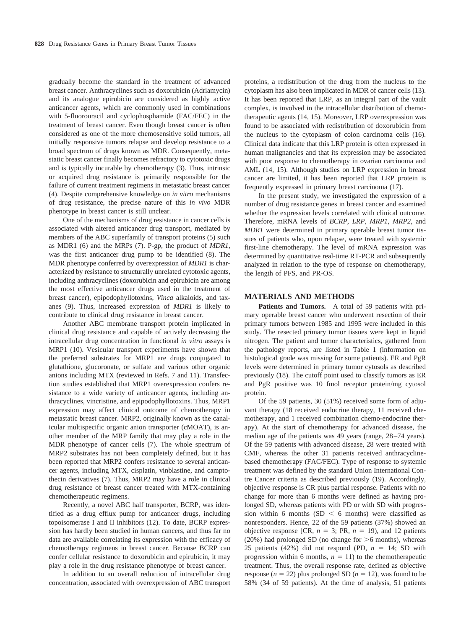gradually become the standard in the treatment of advanced breast cancer. Anthracyclines such as doxorubicin (Adriamycin) and its analogue epirubicin are considered as highly active anticancer agents, which are commonly used in combinations with 5-fluorouracil and cyclophosphamide (FAC/FEC) in the treatment of breast cancer. Even though breast cancer is often considered as one of the more chemosensitive solid tumors, all initially responsive tumors relapse and develop resistance to a broad spectrum of drugs known as MDR. Consequently, metastatic breast cancer finally becomes refractory to cytotoxic drugs and is typically incurable by chemotherapy (3). Thus, intrinsic or acquired drug resistance is primarily responsible for the failure of current treatment regimens in metastatic breast cancer (4). Despite comprehensive knowledge on *in vitro* mechanisms of drug resistance, the precise nature of this *in vivo* MDR phenotype in breast cancer is still unclear.

One of the mechanisms of drug resistance in cancer cells is associated with altered anticancer drug transport, mediated by members of the ABC superfamily of transport proteins (5) such as MDR1 (6) and the MRPs (7). P-gp, the product of *MDR1*, was the first anticancer drug pump to be identified (8). The MDR phenotype conferred by overexpression of *MDR1* is characterized by resistance to structurally unrelated cytotoxic agents, including anthracyclines (doxorubicin and epirubicin are among the most effective anticancer drugs used in the treatment of breast cancer), epipodophyllotoxins, *Vinca* alkaloids, and taxanes (9). Thus, increased expression of *MDR1* is likely to contribute to clinical drug resistance in breast cancer.

Another ABC membrane transport protein implicated in clinical drug resistance and capable of actively decreasing the intracellular drug concentration in functional *in vitro* assays is MRP1 (10). Vesicular transport experiments have shown that the preferred substrates for MRP1 are drugs conjugated to glutathione, glucoronate, or sulfate and various other organic anions including MTX (reviewed in Refs. 7 and 11). Transfection studies established that MRP1 overexpression confers resistance to a wide variety of anticancer agents, including anthracyclines, vincristine, and epipodophyllotoxins. Thus, MRP1 expression may affect clinical outcome of chemotherapy in metastatic breast cancer. MRP2, originally known as the canalicular multispecific organic anion transporter (cMOAT), is another member of the MRP family that may play a role in the MDR phenotype of cancer cells (7). The whole spectrum of MRP2 substrates has not been completely defined, but it has been reported that MRP2 confers resistance to several anticancer agents, including MTX, cisplatin, vinblastine, and camptothecin derivatives (7). Thus, MRP2 may have a role in clinical drug resistance of breast cancer treated with MTX-containing chemotherapeutic regimens.

Recently, a novel ABC half transporter, BCRP, was identified as a drug efflux pump for anticancer drugs, including topoisomerase I and II inhibitors (12). To date, BCRP expression has hardly been studied in human cancers, and thus far no data are available correlating its expression with the efficacy of chemotherapy regimens in breast cancer. Because BCRP can confer cellular resistance to doxorubicin and epirubicin, it may play a role in the drug resistance phenotype of breast cancer.

In addition to an overall reduction of intracellular drug concentration, associated with overexpression of ABC transport proteins, a redistribution of the drug from the nucleus to the cytoplasm has also been implicated in MDR of cancer cells (13). It has been reported that LRP, as an integral part of the vault complex, is involved in the intracellular distribution of chemotherapeutic agents (14, 15). Moreover, LRP overexpression was found to be associated with redistribution of doxorubicin from the nucleus to the cytoplasm of colon carcinoma cells (16). Clinical data indicate that this LRP protein is often expressed in human malignancies and that its expression may be associated with poor response to chemotherapy in ovarian carcinoma and AML (14, 15). Although studies on LRP expression in breast cancer are limited, it has been reported that LRP protein is frequently expressed in primary breast carcinoma (17).

In the present study, we investigated the expression of a number of drug resistance genes in breast cancer and examined whether the expression levels correlated with clinical outcome. Therefore, mRNA levels of *BCRP*, *LRP*, *MRP1*, *MRP2*, and *MDR1* were determined in primary operable breast tumor tissues of patients who, upon relapse, were treated with systemic first-line chemotherapy. The level of mRNA expression was determined by quantitative real-time RT-PCR and subsequently analyzed in relation to the type of response on chemotherapy, the length of PFS, and PR-OS.

### **MATERIALS AND METHODS**

Patients and Tumors. A total of 59 patients with primary operable breast cancer who underwent resection of their primary tumors between 1985 and 1995 were included in this study. The resected primary tumor tissues were kept in liquid nitrogen. The patient and tumor characteristics, gathered from the pathology reports, are listed in Table 1 (information on histological grade was missing for some patients). ER and PgR levels were determined in primary tumor cytosols as described previously (18). The cutoff point used to classify tumors as ER and PgR positive was 10 fmol receptor protein/mg cytosol protein.

Of the 59 patients, 30 (51%) received some form of adjuvant therapy (18 received endocrine therapy, 11 received chemotherapy, and 1 received combination chemo-endocrine therapy). At the start of chemotherapy for advanced disease, the median age of the patients was 49 years (range, 28–74 years). Of the 59 patients with advanced disease, 28 were treated with CMF, whereas the other 31 patients received anthracyclinebased chemotherapy (FAC/FEC). Type of response to systemic treatment was defined by the standard Union International Contre Cancer criteria as described previously (19). Accordingly, objective response is CR plus partial response. Patients with no change for more than 6 months were defined as having prolonged SD, whereas patients with PD or with SD with progression within 6 months  $(SD < 6$  months) were classified as nonresponders. Hence, 22 of the 59 patients (37%) showed an objective response [CR,  $n = 3$ ; PR,  $n = 19$ ), and 12 patients (20%) had prolonged SD (no change for  $>6$  months), whereas 25 patients (42%) did not respond (PD,  $n = 14$ ; SD with progression within 6 months,  $n = 11$ ) to the chemotherapeutic treatment. Thus, the overall response rate, defined as objective response ( $n = 22$ ) plus prolonged SD ( $n = 12$ ), was found to be 58% (34 of 59 patients). At the time of analysis, 51 patients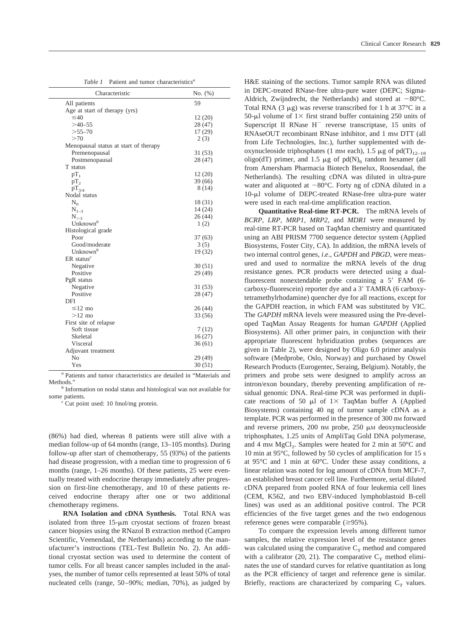| Patient and tumor characteristics <sup>a</sup><br>Table 1 |
|-----------------------------------------------------------|
|-----------------------------------------------------------|

| Characteristic                        | No. (%) |
|---------------------------------------|---------|
| All patients                          | 59      |
| Age at start of therapy (yrs)         |         |
| $\leq 40$                             | 12(20)  |
| $>40-55$                              | 28 (47) |
| $>55 - 70$                            | 17 (29) |
| >70                                   | 2(3)    |
| Menopausal status at start of therapy |         |
| Premenopausal                         | 31(53)  |
| Postmenopausal                        | 28(47)  |
| T status                              |         |
| $pT_1$                                | 12(20)  |
| $pT_2$                                | 39(66)  |
| $pT_{3/4}$                            | 8(14)   |
| Nodal status                          |         |
| $N_0$                                 | 18(31)  |
| $N_{1-3}$                             | 14 (24) |
| $N_{\geq 3}$                          | 26(44)  |
| Unknown <sup>b</sup>                  | 1(2)    |
| Histological grade                    |         |
| Poor                                  | 37(63)  |
| Good/moderate                         | 3(5)    |
| Unknown <sup>b</sup>                  | 19 (32) |
| $ER$ status <sup>c</sup>              |         |
| Negative                              | 30(51)  |
| Positive                              | 29 (49) |
| PgR status                            |         |
| Negative                              | 31(53)  |
| Positive                              | 28(47)  |
| DFI                                   |         |
| $\leq$ 12 mo                          | 26(44)  |
| $>12$ mo                              | 33 (56) |
| First site of relapse                 |         |
| Soft tissue                           | 7(12)   |
| Skeletal                              | 16(27)  |
| Visceral                              | 36(61)  |
| Adjuvant treatment                    |         |
| No                                    | 29 (49) |
| Yes                                   | 30(51)  |

*<sup>a</sup>* Patients and tumor characteristics are detailed in "Materials and

Methods." *b* Information on nodal status and histological was not available for some patients.

Cut point used: 10 fmol/mg protein.

(86%) had died, whereas 8 patients were still alive with a median follow-up of 64 months (range, 13–105 months). During follow-up after start of chemotherapy, 55 (93%) of the patients had disease progression, with a median time to progression of 6 months (range, 1–26 months). Of these patients, 25 were eventually treated with endocrine therapy immediately after progression on first-line chemotherapy, and 10 of these patients received endocrine therapy after one or two additional chemotherapy regimens.

**RNA Isolation and cDNA Synthesis.** Total RNA was isolated from three  $15-\mu m$  cryostat sections of frozen breast cancer biopsies using the RNazol B extraction method (Campro Scientific, Veenendaal, the Netherlands) according to the manufacturer's instructions (TEL-Test Bulletin No. 2). An additional cryostat section was used to determine the content of tumor cells. For all breast cancer samples included in the analyses, the number of tumor cells represented at least 50% of total nucleated cells (range, 50–90%; median, 70%), as judged by H&E staining of the sections. Tumor sample RNA was diluted in DEPC-treated RNase-free ultra-pure water (DEPC; Sigma-Aldrich, Zwijndrecht, the Netherlands) and stored at  $-80^{\circ}$ C. Total RNA (3  $\mu$ g) was reverse transcribed for 1 h at 37°C in a 50-µl volume of  $1 \times$  first strand buffer containing 250 units of Superscript II RNase  $H^-$  reverse transcriptase, 15 units of RNAseOUT recombinant RNase inhibitor, and 1 mm DTT (all from Life Technologies, Inc.), further supplemented with deoxynucleoside triphosphates (1 mm each), 1.5  $\mu$ g of pd(T)<sub>12–18</sub> oligo(dT) primer, and 1.5  $\mu$ g of pd(N)<sub>6</sub> random hexamer (all from Amersham Pharmacia Biotech Benelux, Roosendaal, the Netherlands). The resulting cDNA was diluted in ultra-pure water and aliquoted at  $-80^{\circ}$ C. Forty ng of cDNA diluted in a 10-µl volume of DEPC-treated RNase-free ultra-pure water were used in each real-time amplification reaction.

**Quantitative Real-time RT-PCR.** The mRNA levels of *BCRP, LRP, MRP1, MRP2,* and *MDR1* were measured by real-time RT-PCR based on TaqMan chemistry and quantitated using an ABI PRISM 7700 sequence detector system (Applied Biosystems, Foster City, CA). In addition, the mRNA levels of two internal control genes, *i*.*e*., *GAPDH* and *PBGD*, were measured and used to normalize the mRNA levels of the drug resistance genes. PCR products were detected using a dualfluorescent nonextendable probe containing a 5' FAM (6carboxy-fluorescein) reporter dye and a 3' TAMRA (6 carboxytetramethylrhodamine) quencher dye for all reactions, except for the GAPDH reaction, in which FAM was substituted by VIC. The *GAPDH* mRNA levels were measured using the Pre-developed TaqMan Assay Reagents for human *GAPDH* (Applied Biosystems). All other primer pairs, in conjunction with their appropriate fluorescent hybridization probes (sequences are given in Table 2), were designed by Oligo 6.0 primer analysis software (Medprobe, Oslo, Norway) and purchased by Oswel Research Products (Eurogentec, Seraing, Belgium). Notably, the primers and probe sets were designed to amplify across an intron/exon boundary, thereby preventing amplification of residual genomic DNA. Real-time PCR was performed in duplicate reactions of 50  $\mu$ l of 1 X TaqMan buffer A (Applied Biosystems) containing 40 ng of tumor sample cDNA as a template. PCR was performed in the presence of 300 nm forward and reverse primers,  $200 \text{ nm}$  probe,  $250 \mu \text{m}$  deoxynucleoside triphosphates, 1.25 units of AmpliTaq Gold DNA polymerase, and 4 mm  $MgCl<sub>2</sub>$ . Samples were heated for 2 min at 50°C and 10 min at 95°C, followed by 50 cycles of amplification for 15 s at 95°C and 1 min at 60°C. Under these assay conditions, a linear relation was noted for log amount of cDNA from MCF-7, an established breast cancer cell line. Furthermore, serial diluted cDNA prepared from pooled RNA of four leukemia cell lines (CEM, K562, and two EBV-induced lymphoblastoid B-cell lines) was used as an additional positive control. The PCR efficiencies of the five target genes and the two endogenous reference genes were comparable  $(\geq 95\%)$ .

To compare the expression levels among different tumor samples, the relative expression level of the resistance genes was calculated using the comparative  $C_T$  method and compared with a calibrator (20, 21). The comparative  $C_T$  method eliminates the use of standard curves for relative quantitation as long as the PCR efficiency of target and reference gene is similar. Briefly, reactions are characterized by comparing  $C_T$  values.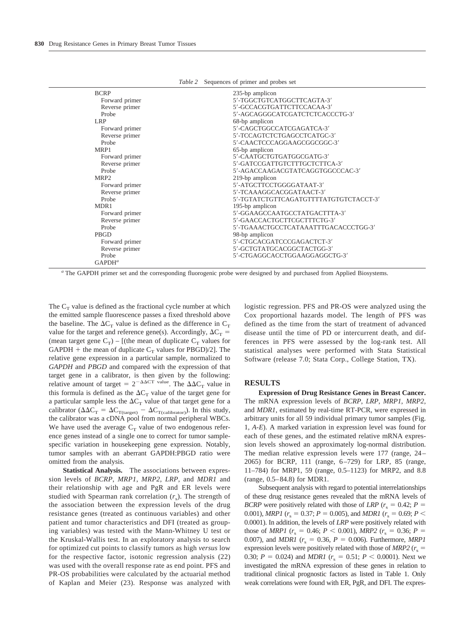| Table 2 | Sequences of primer and probes set |  |  |  |
|---------|------------------------------------|--|--|--|
|---------|------------------------------------|--|--|--|

| <b>BCRP</b>      | 235-bp amplicon                        |
|------------------|----------------------------------------|
| Forward primer   | 5'-TGGCTGTCATGGCTTCAGTA-3'             |
| Reverse primer   | 5'-GCCACGTGATTCTTCCACAA-3'             |
| Probe            | 5'-AGCAGGGCATCGATCTCTCACCCTG-3'        |
| <b>LRP</b>       | 68-bp amplicon                         |
| Forward primer   | 5'-CAGCTGGCCATCGAGATCA-3'              |
| Reverse primer   | 5'-TCCAGTCTCTGAGCCTCATGC-3'            |
| Probe            | 5'-CAACTCCCAGGAAGCGGCGGC-3'            |
| MRP1             | 65-bp amplicon                         |
| Forward primer   | 5'-CAATGCTGTGATGGCGATG-3'              |
| Reverse primer   | 5'-GATCCGATTGTCTTTGCTCTTCA-3'          |
| Probe            | 5'-AGACCAAGACGTATCAGGTGGCCCAC-3'       |
| MRP <sub>2</sub> | 219-bp amplicon                        |
| Forward primer   | 5'-ATGCTTCCTGGGGATAAT-3'               |
| Reverse primer   | 5'-TCAAAGGCACGGATAACT-3'               |
| Probe            | 5'-TGTATCTGTTCAGATGTTTTATGTGTCTACCT-3' |
| MDR1             | 195-bp amplicon                        |
| Forward primer   | 5'-GGAAGCCAATGCCTATGACTTTA-3'          |
| Reverse primer   | 5'-GAACCACTGCTTCGCTTTCTG-3'            |
| Probe            | 5'-TGAAACTGCCTCATAAATTTGACACCCTGG-3'   |
| PBGD             | 98-bp amplicon                         |
| Forward primer   | 5'-CTGCACGATCCCGAGACTCT-3'             |
| Reverse primer   | 5'-GCTGTATGCACGGCTACTGG-3'             |
| Probe            | 5'-CTGAGGCACCTGGAAGGAGGCTG-3'          |
| $GAPDH^a$        |                                        |

*<sup>a</sup>* The GAPDH primer set and the corresponding fluorogenic probe were designed by and purchased from Applied Biosystems.

The  $C_T$  value is defined as the fractional cycle number at which the emitted sample fluorescence passes a fixed threshold above the baseline. The  $\Delta C_T$  value is defined as the difference in  $C_T$ value for the target and reference gene(s). Accordingly,  $\Delta C_T$  = (mean target gene  $C_T$ ) – [(the mean of duplicate  $C_T$  values for GAPDH + the mean of duplicate  $C_T$  values for PBGD)/2]. The relative gene expression in a particular sample, normalized to *GAPDH* and *PBGD* and compared with the expression of that target gene in a calibrator, is then given by the following: relative amount of target =  $2^{-\Delta\Delta CT}$  value. The  $\Delta\Delta C_T$  value in this formula is defined as the  $\Delta C_T$  value of the target gene for a particular sample less the  $\Delta C_T$  value of that target gene for a calibrator ( $\Delta \Delta C_T = \Delta C_{T(\text{target})} - \Delta C_{T(\text{calibration})}$ ). In this study, the calibrator was a cDNA pool from normal peripheral WBCs. We have used the average  $C_T$  value of two endogenous reference genes instead of a single one to correct for tumor samplespecific variation in housekeeping gene expression. Notably, tumor samples with an aberrant GAPDH:PBGD ratio were omitted from the analysis.

**Statistical Analysis.** The associations between expression levels of *BCRP*, *MRP1*, *MRP2*, *LRP*, and *MDR1* and their relationship with age and PgR and ER levels were studied with Spearman rank correlation  $(r<sub>s</sub>)$ . The strength of the association between the expression levels of the drug resistance genes (treated as continuous variables) and other patient and tumor characteristics and DFI (treated as grouping variables) was tested with the Mann-Whitney U test or the Kruskal-Wallis test. In an exploratory analysis to search for optimized cut points to classify tumors as high *versus* low for the respective factor, isotonic regression analysis (22) was used with the overall response rate as end point. PFS and PR-OS probabilities were calculated by the actuarial method of Kaplan and Meier (23). Response was analyzed with logistic regression. PFS and PR-OS were analyzed using the Cox proportional hazards model. The length of PFS was defined as the time from the start of treatment of advanced disease until the time of PD or intercurrent death, and differences in PFS were assessed by the log-rank test. All statistical analyses were performed with Stata Statistical Software (release 7.0; Stata Corp., College Station, TX).

### **RESULTS**

**Expression of Drug Resistance Genes in Breast Cancer.** The mRNA expression levels of *BCRP*, *LRP*, *MRP1*, *MRP2,* and *MDR1*, estimated by real-time RT-PCR, were expressed in arbitrary units for all 59 individual primary tumor samples (Fig. 1, *A-E*). A marked variation in expression level was found for each of these genes, and the estimated relative mRNA expression levels showed an approximately log-normal distribution. The median relative expression levels were 177 (range, 24– 2065) for BCRP, 111 (range, 6–729) for LRP, 85 (range, 11–784) for MRP1, 59 (range, 0.5–1123) for MRP2, and 8.8 (range, 0.5–84.8) for MDR1.

Subsequent analysis with regard to potential interrelationships of these drug resistance genes revealed that the mRNA levels of *BCRP* were positively related with those of *LRP* ( $r_s = 0.42$ ;  $P =$ 0.001), *MRP1* ( $r_s = 0.37$ ;  $P = 0.005$ ), and *MDR1* ( $r_s = 0.69$ ;  $P <$ 0.0001). In addition, the levels of *LRP* were positively related with those of *MRP1* ( $r_s = 0.46$ ;  $P < 0.001$ ), *MRP2* ( $r_s = 0.36$ ;  $P =$ 0.007), and *MDR1* ( $r_s = 0.36$ ,  $P = 0.006$ ). Furthermore, *MRP1* expression levels were positively related with those of  $MRP2$  ( $r<sub>s</sub>$  = 0.30;  $P = 0.024$ ) and *MDR1* ( $r_s = 0.51$ ;  $P < 0.0001$ ). Next we investigated the mRNA expression of these genes in relation to traditional clinical prognostic factors as listed in Table 1. Only weak correlations were found with ER, PgR, and DFI. The expres-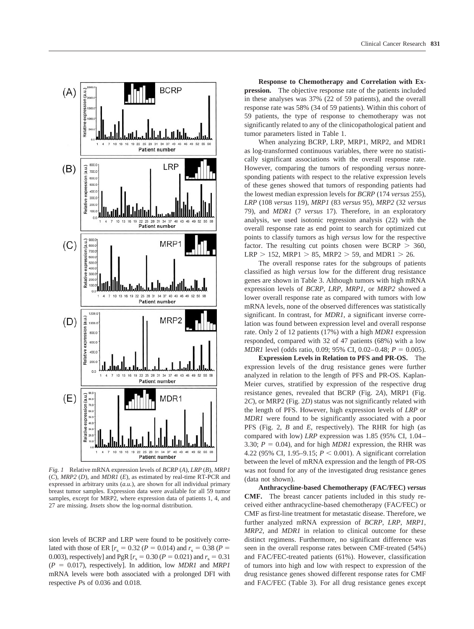

*Fig. 1* Relative mRNA expression levels of *BCRP* (*A*), *LRP* (*B*), *MRP1* (*C*), *MRP2* (*D*), and *MDR1* (*E*), as estimated by real-time RT-PCR and expressed in arbitrary units (*a.u.*), are shown for all individual primary breast tumor samples. Expression data were available for all 59 tumor samples, except for MRP2, where expression data of patients 1, 4, and 27 are missing. *Insets* show the log-normal distribution.

sion levels of BCRP and LRP were found to be positively correlated with those of ER  $[r_s = 0.32 (P = 0.014)$  and  $r_s = 0.38 (P =$ 0.003), respectively] and PgR  $[r_s = 0.30 (P = 0.021)$  and  $r_s = 0.31$  $(P = 0.017)$ , respectively]. In addition, low *MDR1* and *MRP1* mRNA levels were both associated with a prolonged DFI with respective *P*s of 0.036 and 0.018.

**Response to Chemotherapy and Correlation with Expression.** The objective response rate of the patients included in these analyses was 37% (22 of 59 patients), and the overall response rate was 58% (34 of 59 patients). Within this cohort of 59 patients, the type of response to chemotherapy was not significantly related to any of the clinicopathological patient and tumor parameters listed in Table 1.

When analyzing BCRP, LRP, MRP1, MRP2, and MDR1 as log-transformed continuous variables, there were no statistically significant associations with the overall response rate. However, comparing the tumors of responding *versus* nonresponding patients with respect to the relative expression levels of these genes showed that tumors of responding patients had the lowest median expression levels for *BCRP* (174 *versus* 255), *LRP* (108 *versus* 119), *MRP1* (83 *versus* 95), *MRP2* (32 *versus* 79), and *MDR1* (7 *versus* 17). Therefore, in an exploratory analysis, we used isotonic regression analysis (22) with the overall response rate as end point to search for optimized cut points to classify tumors as high *versus* low for the respective factor. The resulting cut points chosen were  $BCRP > 360$ ,  $LRP > 152$ , MRP1  $> 85$ , MRP2  $> 59$ , and MDR1  $> 26$ .

The overall response rates for the subgroups of patients classified as high *versus* low for the different drug resistance genes are shown in Table 3. Although tumors with high mRNA expression levels of *BCRP*, *LRP*, *MRP1,* or *MRP2* showed a lower overall response rate as compared with tumors with low mRNA levels, none of the observed differences was statistically significant. In contrast, for *MDR1*, a significant inverse correlation was found between expression level and overall response rate. Only 2 of 12 patients (17%) with a high *MDR1* expression responded, compared with 32 of 47 patients (68%) with a low *MDR1* level (odds ratio, 0.09; 95% CI, 0.02–0.48;  $P = 0.005$ ).

**Expression Levels in Relation to PFS and PR-OS.** The expression levels of the drug resistance genes were further analyzed in relation to the length of PFS and PR-OS. Kaplan-Meier curves, stratified by expression of the respective drug resistance genes, revealed that BCRP (Fig. 2*A*), MRP1 (Fig. 2*C*), or MRP2 (Fig. 2*D*) status was not significantly related with the length of PFS. However, high expression levels of *LRP* or *MDR1* were found to be significantly associated with a poor PFS (Fig. 2, *B* and *E*, respectively). The RHR for high (as compared with low) *LRP* expression was 1.85 (95% CI, 1.04– 3.30;  $P = 0.04$ ), and for high *MDR1* expression, the RHR was 4.22 (95% CI, 1.95–9.15;  $P < 0.001$ ). A significant correlation between the level of mRNA expression and the length of PR-OS was not found for any of the investigated drug resistance genes (data not shown).

**Anthracycline-based Chemotherapy (FAC/FEC)** *versus* **CMF.** The breast cancer patients included in this study received either anthracycline-based chemotherapy (FAC/FEC) or CMF as first-line treatment for metastatic disease. Therefore, we further analyzed mRNA expression of *BCRP*, *LRP*, *MRP1*, *MRP2,* and *MDR1* in relation to clinical outcome for these distinct regimens. Furthermore, no significant difference was seen in the overall response rates between CMF-treated (54%) and FAC/FEC-treated patients (61%). However, classification of tumors into high and low with respect to expression of the drug resistance genes showed different response rates for CMF and FAC/FEC (Table 3). For all drug resistance genes except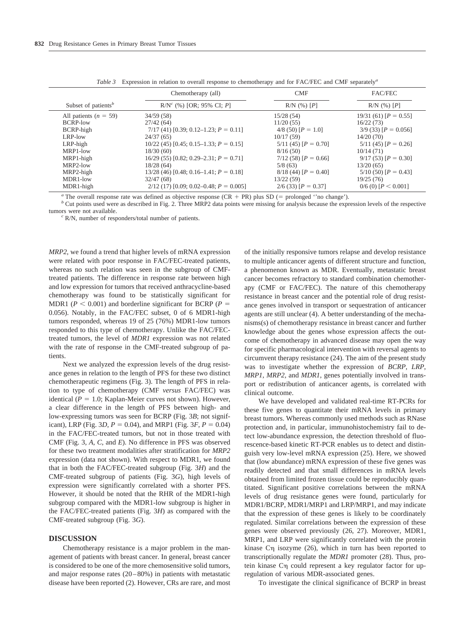|                                 | Chemotherapy (all)                          | <b>CMF</b>                 | FAC/FEC                    |
|---------------------------------|---------------------------------------------|----------------------------|----------------------------|
| Subset of patients <sup>b</sup> | $R/N^{c}$ (%) [OR; 95% CI; P]               | $R/N$ (%) $[P]$            | $R/N$ (%) [P]              |
| All patients ( $n = 59$ )       | 34/59 (58)                                  | 15/28(54)                  | $19/31(61)$ [ $P = 0.55$ ] |
| BCRP-low                        | 27/42(64)                                   | 11/20(55)                  | 16/22(73)                  |
| BCRP-high                       | $7/17$ (41) [0.39; 0.12–1.23; $P = 0.11$ ]  | $4/8$ (50) [ $P = 1.0$ ]   | $3/9$ (33) [ $P = 0.056$ ] |
| LRP-low                         | 24/37(65)                                   | 10/17(59)                  | 14/20(70)                  |
| LRP-high                        | $10/22$ (45) [0.45; 0.15–1.33; $P = 0.15$ ] | $5/11(45)$ $[P = 0.70]$    | $5/11$ (45) $[P = 0.26]$   |
| MRP1-low                        | 18/30(60)                                   | 8/16(50)                   | 10/14(71)                  |
| MRP1-high                       | $16/29$ (55) [0.82; 0.29–2.31; $P = 0.71$ ] | $7/12$ (58) [ $P = 0.66$ ] | $9/17(53)$ [ $P = 0.30$ ]  |
| MRP2-low                        | 18/28(64)                                   | 5/8(63)                    | 13/20(65)                  |
| MRP2-high                       | $13/28$ (46) [0.48; 0.16–1.41; $P = 0.18$ ] | $8/18(44)$ [ $P = 0.40$ ]  | $5/10$ (50) [ $P = 0.43$ ] |
| MDR1-low                        | 32/47(68)                                   | 13/22(59)                  | 19/25(76)                  |
| MDR1-high                       | $2/12$ (17) [0.09; 0.02–0.48; $P = 0.005$ ] | $2/6$ (33) [ $P = 0.37$ ]  | $0/6$ (0) [ $P < 0.001$ ]  |

*Table 3* Expression in relation to overall response to chemotherapy and for FAC/FEC and CMF separately*<sup>a</sup>*

<sup>*a*</sup> The overall response rate was defined as objective response (CR  $+$  PR) plus SD (= prolonged  $\degree$  no change').

<sup>b</sup> Cut points used were as described in Fig. 2. Three MRP2 data points were missing for analysis because the expression levels of the respective tumors were not available. *<sup>c</sup>* R/N, number of responders/total number of patients.

*MRP2*, we found a trend that higher levels of mRNA expression were related with poor response in FAC/FEC-treated patients, whereas no such relation was seen in the subgroup of CMFtreated patients. The difference in response rate between high and low expression for tumors that received anthracycline-based chemotherapy was found to be statistically significant for MDR1 ( $P < 0.001$ ) and borderline significant for BCRP ( $P =$ 0.056). Notably, in the FAC/FEC subset, 0 of 6 MDR1-high tumors responded, whereas 19 of 25 (76%) MDR1-low tumors responded to this type of chemotherapy. Unlike the FAC/FECtreated tumors, the level of *MDR1* expression was not related with the rate of response in the CMF-treated subgroup of patients.

Next we analyzed the expression levels of the drug resistance genes in relation to the length of PFS for these two distinct chemotherapeutic regimens (Fig. 3). The length of PFS in relation to type of chemotherapy (CMF *versus* FAC/FEC) was identical ( $P = 1.0$ ; Kaplan-Meier curves not shown). However, a clear difference in the length of PFS between high- and low-expressing tumors was seen for BCRP (Fig. 3*B*; not significant), LRP (Fig. 3*D*,  $P = 0.04$ ), and MRP1 (Fig. 3*F*,  $P = 0.04$ ) in the FAC/FEC-treated tumors, but not in those treated with CMF (Fig. 3, *A*, *C*, and *E*). No difference in PFS was observed for these two treatment modalities after stratification for *MRP2* expression (data not shown). With respect to MDR1, we found that in both the FAC/FEC-treated subgroup (Fig. 3*H*) and the CMF-treated subgroup of patients (Fig. 3*G*), high levels of expression were significantly correlated with a shorter PFS. However, it should be noted that the RHR of the MDR1-high subgroup compared with the MDR1-low subgroup is higher in the FAC/FEC-treated patients (Fig. 3*H*) as compared with the CMF-treated subgroup (Fig. 3*G*).

#### **DISCUSSION**

Chemotherapy resistance is a major problem in the management of patients with breast cancer. In general, breast cancer is considered to be one of the more chemosensitive solid tumors, and major response rates (20–80%) in patients with metastatic disease have been reported (2). However, CRs are rare, and most

of the initially responsive tumors relapse and develop resistance to multiple anticancer agents of different structure and function, a phenomenon known as MDR. Eventually, metastatic breast cancer becomes refractory to standard combination chemotherapy (CMF or FAC/FEC). The nature of this chemotherapy resistance in breast cancer and the potential role of drug resistance genes involved in transport or sequestration of anticancer agents are still unclear (4). A better understanding of the mechanisms(s) of chemotherapy resistance in breast cancer and further knowledge about the genes whose expression affects the outcome of chemotherapy in advanced disease may open the way for specific pharmacological intervention with reversal agents to circumvent therapy resistance (24). The aim of the present study was to investigate whether the expression of *BCRP*, *LRP*, *MRP1*, *MRP2,* and *MDR1*, genes potentially involved in transport or redistribution of anticancer agents, is correlated with clinical outcome.

We have developed and validated real-time RT-PCRs for these five genes to quantitate their mRNA levels in primary breast tumors. Whereas commonly used methods such as RNase protection and, in particular, immunohistochemistry fail to detect low-abundance expression, the detection threshold of fluorescence-based kinetic RT-PCR enables us to detect and distinguish very low-level mRNA expression (25). Here, we showed that (low abundance) mRNA expression of these five genes was readily detected and that small differences in mRNA levels obtained from limited frozen tissue could be reproducibly quantitated. Significant positive correlations between the mRNA levels of drug resistance genes were found, particularly for MDR1/BCRP, MDR1/MRP1 and LRP/MRP1, and may indicate that the expression of these genes is likely to be coordinately regulated. Similar correlations between the expression of these genes were observed previously (26, 27). Moreover, MDR1, MRP1, and LRP were significantly correlated with the protein kinase  $C\eta$  isozyme (26), which in turn has been reported to transcriptionally regulate the *MDR1* promoter (28). Thus, protein kinase C $\eta$  could represent a key regulator factor for upregulation of various MDR-associated genes.

To investigate the clinical significance of BCRP in breast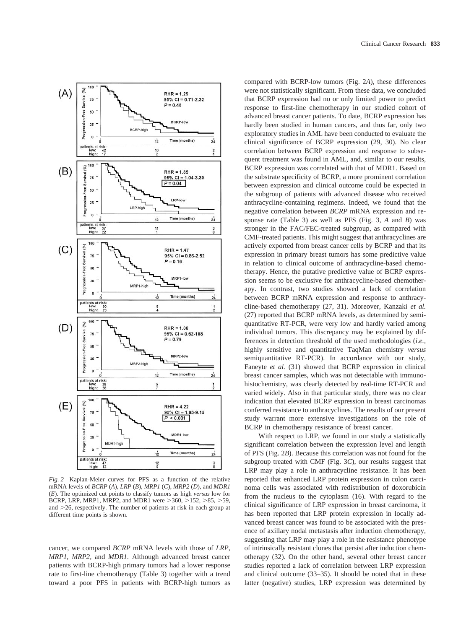

*Fig. 2* Kaplan-Meier curves for PFS as a function of the relative mRNA levels of *BCRP* (*A*), *LRP* (*B*), *MRP1* (*C*), *MRP2* (*D*), and *MDR1* (*E*). The optimized cut points to classify tumors as high *versus* low for BCRP, LRP, MRP1, MRP2, and MDR1 were  $>360, >152, >85, >59,$ and  $>$ 26, respectively. The number of patients at risk in each group at different time points is shown.

cancer, we compared *BCRP* mRNA levels with those of *LRP*, *MRP1*, *MRP2,* and *MDR1*. Although advanced breast cancer patients with BCRP-high primary tumors had a lower response rate to first-line chemotherapy (Table 3) together with a trend toward a poor PFS in patients with BCRP-high tumors as

compared with BCRP-low tumors (Fig. 2*A*), these differences were not statistically significant. From these data, we concluded that BCRP expression had no or only limited power to predict response to first-line chemotherapy in our studied cohort of advanced breast cancer patients. To date, BCRP expression has hardly been studied in human cancers, and thus far, only two exploratory studies in AML have been conducted to evaluate the clinical significance of BCRP expression (29, 30). No clear correlation between BCRP expression and response to subsequent treatment was found in AML, and, similar to our results, BCRP expression was correlated with that of MDR1. Based on the substrate specificity of BCRP, a more prominent correlation between expression and clinical outcome could be expected in the subgroup of patients with advanced disease who received anthracycline-containing regimens. Indeed, we found that the negative correlation between *BCRP* mRNA expression and response rate (Table 3) as well as PFS (Fig. 3, *A* and *B*) was stronger in the FAC/FEC-treated subgroup, as compared with CMF-treated patients. This might suggest that anthracyclines are actively exported from breast cancer cells by BCRP and that its expression in primary breast tumors has some predictive value in relation to clinical outcome of anthracycline-based chemotherapy. Hence, the putative predictive value of BCRP expression seems to be exclusive for anthracycline-based chemother-

apy. In contrast, two studies showed a lack of correlation between BCRP mRNA expression and response to anthracycline-based chemotherapy (27, 31). Moreover, Kanzaki *et al.* (27) reported that BCRP mRNA levels, as determined by semiquantitative RT-PCR, were very low and hardly varied among individual tumors. This discrepancy may be explained by differences in detection threshold of the used methodologies (*i.e.,* highly sensitive and quantitative TaqMan chemistry *versus* semiquantitative RT-PCR). In accordance with our study, Faneyte *et al.* (31) showed that BCRP expression in clinical breast cancer samples, which was not detectable with immunohistochemistry, was clearly detected by real-time RT-PCR and varied widely. Also in that particular study, there was no clear indication that elevated BCRP expression in breast carcinomas conferred resistance to anthracyclines. The results of our present study warrant more extensive investigations on the role of BCRP in chemotherapy resistance of breast cancer.

With respect to LRP, we found in our study a statistically significant correlation between the expression level and length of PFS (Fig. 2*B*). Because this correlation was not found for the subgroup treated with CMF (Fig. 3*C*), our results suggest that LRP may play a role in anthracycline resistance. It has been reported that enhanced LRP protein expression in colon carcinoma cells was associated with redistribution of doxorubicin from the nucleus to the cytoplasm (16). With regard to the clinical significance of LRP expression in breast carcinoma, it has been reported that LRP protein expression in locally advanced breast cancer was found to be associated with the presence of axillary nodal metastasis after induction chemotherapy, suggesting that LRP may play a role in the resistance phenotype of intrinsically resistant clones that persist after induction chemotherapy (32). On the other hand, several other breast cancer studies reported a lack of correlation between LRP expression and clinical outcome (33–35). It should be noted that in these latter (negative) studies, LRP expression was determined by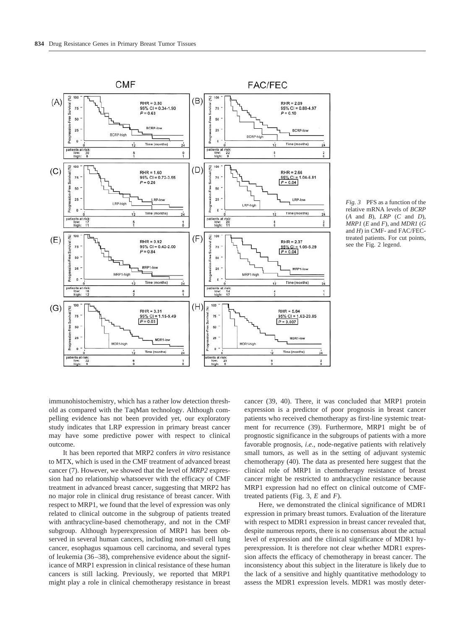

*Fig. 3* PFS as a function of the relative mRNA levels of *BCRP* (*A* and *B*), *LRP* (*C* and *D*), *MRP1* (*E* and *F*), and *MDR1* (*G* and *H*) in CMF- and FAC/FECtreated patients. For cut points, see the Fig. 2 legend.

immunohistochemistry, which has a rather low detection threshold as compared with the TaqMan technology. Although compelling evidence has not been provided yet, our exploratory study indicates that LRP expression in primary breast cancer may have some predictive power with respect to clinical outcome.

It has been reported that MRP2 confers *in vitro* resistance to MTX, which is used in the CMF treatment of advanced breast cancer (7). However, we showed that the level of *MRP2* expression had no relationship whatsoever with the efficacy of CMF treatment in advanced breast cancer, suggesting that MRP2 has no major role in clinical drug resistance of breast cancer. With respect to MRP1, we found that the level of expression was only related to clinical outcome in the subgroup of patients treated with anthracycline-based chemotherapy, and not in the CMF subgroup. Although hyperexpression of MRP1 has been observed in several human cancers, including non-small cell lung cancer, esophagus squamous cell carcinoma, and several types of leukemia (36–38), comprehensive evidence about the significance of MRP1 expression in clinical resistance of these human cancers is still lacking. Previously, we reported that MRP1 might play a role in clinical chemotherapy resistance in breast

cancer (39, 40). There, it was concluded that MRP1 protein expression is a predictor of poor prognosis in breast cancer patients who received chemotherapy as first-line systemic treatment for recurrence (39). Furthermore, MRP1 might be of prognostic significance in the subgroups of patients with a more favorable prognosis, *i*.*e*., node-negative patients with relatively small tumors, as well as in the setting of adjuvant systemic chemotherapy (40). The data as presented here suggest that the clinical role of MRP1 in chemotherapy resistance of breast cancer might be restricted to anthracycline resistance because MRP1 expression had no effect on clinical outcome of CMFtreated patients (Fig. 3, *E* and *F*).

Here, we demonstrated the clinical significance of MDR1 expression in primary breast tumors. Evaluation of the literature with respect to MDR1 expression in breast cancer revealed that, despite numerous reports, there is no consensus about the actual level of expression and the clinical significance of MDR1 hyperexpression. It is therefore not clear whether MDR1 expression affects the efficacy of chemotherapy in breast cancer. The inconsistency about this subject in the literature is likely due to the lack of a sensitive and highly quantitative methodology to assess the MDR1 expression levels. MDR1 was mostly deter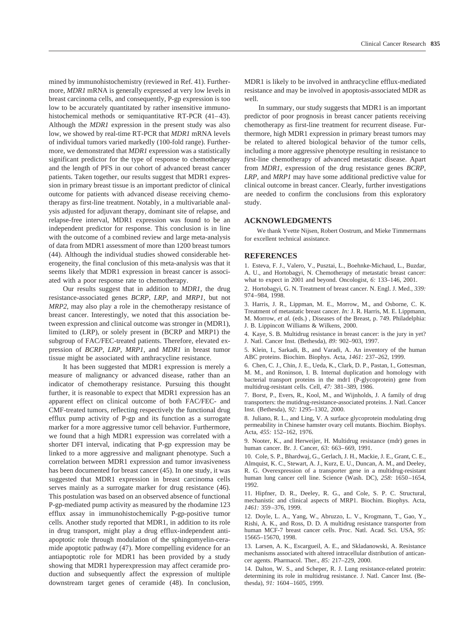mined by immunohistochemistry (reviewed in Ref. 41). Furthermore, *MDR1* mRNA is generally expressed at very low levels in breast carcinoma cells, and consequently, P-gp expression is too low to be accurately quantitated by rather insensitive immunohistochemical methods or semiquantitative RT-PCR (41-43). Although the *MDR1* expression in the present study was also low, we showed by real-time RT-PCR that *MDR1* mRNA levels of individual tumors varied markedly (100-fold range). Furthermore, we demonstrated that *MDR1* expression was a statistically significant predictor for the type of response to chemotherapy and the length of PFS in our cohort of advanced breast cancer patients. Taken together, our results suggest that MDR1 expression in primary breast tissue is an important predictor of clinical outcome for patients with advanced disease receiving chemotherapy as first-line treatment. Notably, in a multivariable analysis adjusted for adjuvant therapy, dominant site of relapse, and relapse-free interval, MDR1 expression was found to be an independent predictor for response. This conclusion is in line with the outcome of a combined review and large meta-analysis of data from MDR1 assessment of more than 1200 breast tumors (44). Although the individual studies showed considerable heterogeneity, the final conclusion of this meta-analysis was that it seems likely that MDR1 expression in breast cancer is associated with a poor response rate to chemotherapy.

Our results suggest that in addition to *MDR1*, the drug resistance-associated genes *BCRP*, *LRP*, and *MRP1*, but not *MRP2*, may also play a role in the chemotherapy resistance of breast cancer. Interestingly, we noted that this association between expression and clinical outcome was stronger in (MDR1), limited to (LRP), or solely present in (BCRP and MRP1) the subgroup of FAC/FEC-treated patients. Therefore, elevated expression of *BCRP*, *LRP*, *MRP1,* and *MDR1* in breast tumor tissue might be associated with anthracycline resistance.

It has been suggested that MDR1 expression is merely a measure of malignancy or advanced disease, rather than an indicator of chemotherapy resistance. Pursuing this thought further, it is reasonable to expect that MDR1 expression has an apparent effect on clinical outcome of both FAC/FEC- and CMF-treated tumors, reflecting respectively the functional drug efflux pump activity of P-gp and its function as a surrogate marker for a more aggressive tumor cell behavior. Furthermore, we found that a high MDR1 expression was correlated with a shorter DFI interval, indicating that P-gp expression may be linked to a more aggressive and malignant phenotype. Such a correlation between MDR1 expression and tumor invasiveness has been documented for breast cancer (45). In one study, it was suggested that MDR1 expression in breast carcinoma cells serves mainly as a surrogate marker for drug resistance (46). This postulation was based on an observed absence of functional P-gp-mediated pump activity as measured by the rhodamine 123 efflux assay in immunohistochemically P-gp-positive tumor cells. Another study reported that MDR1, in addition to its role in drug transport, might play a drug efflux-independent antiapoptotic role through modulation of the sphingomyelin-ceramide apoptotic pathway (47). More compelling evidence for an antiapoptotic role for MDR1 has been provided by a study showing that MDR1 hyperexpression may affect ceramide production and subsequently affect the expression of multiple downstream target genes of ceramide (48). In conclusion, MDR1 is likely to be involved in anthracycline efflux-mediated resistance and may be involved in apoptosis-associated MDR as well.

In summary, our study suggests that MDR1 is an important predictor of poor prognosis in breast cancer patients receiving chemotherapy as first-line treatment for recurrent disease. Furthermore, high MDR1 expression in primary breast tumors may be related to altered biological behavior of the tumor cells, including a more aggressive phenotype resulting in resistance to first-line chemotherapy of advanced metastatic disease. Apart from *MDR1*, expression of the drug resistance genes *BCRP*, *LRP,* and *MRP1* may have some additional predictive value for clinical outcome in breast cancer. Clearly, further investigations are needed to confirm the conclusions from this exploratory study.

### **ACKNOWLEDGMENTS**

We thank Yvette Nijsen, Robert Oostrum, and Mieke Timmermans for excellent technical assistance.

#### **REFERENCES**

1. Esteva, F. J., Valero, V., Pusztai, L., Boehnke-Michaud, L., Buzdar, A. U., and Hortobagyi, N. Chemotherapy of metastatic breast cancer: what to expect in 2001 and beyond. Oncologist, *6:* 133–146, 2001.

2. Hortobagyi, G. N. Treatment of breast cancer. N. Engl. J. Med., *339:* 974–984, 1998.

3. Harris, J. R., Lippman, M. E., Morrow, M., and Osborne, C. K. Treatment of metastatic breast cancer. *In:* J. R. Harris, M. E. Lippmann, M. Morrow, *et al.* (eds.) , Diseases of the Breast, p. 749. Philadelphia: J. B. Lippincott Williams & Wilkens, 2000.

4. Kaye, S. B. Multidrug resistance in breast cancer: is the jury in yet? J. Natl. Cancer Inst. (Bethesda), *89:* 902–903, 1997.

5. Klein, I., Sarkadi, B., and Varadi, A. An inventory of the human ABC proteins. Biochim. Biophys. Acta, *1461:* 237–262, 1999.

6. Chen, C. J., Chin, J. E., Ueda, K., Clark, D. P., Pastan, I., Gottesman, M. M., and Roninson, I. B. Internal duplication and homology with bacterial transport proteins in the mdr1 (P-glycoprotein) gene from multidrug-resistant cells. Cell, *47:* 381–389, 1986.

7. Borst, P., Evers, R., Kool, M., and Wijnholds, J. A family of drug transporters: the mutidrug-resistance-associated proteins. J. Natl. Cancer Inst. (Bethesda), *92:* 1295–1302, 2000.

8. Juliano, R. L., and Ling, V. A surface glycoprotein modulating drug permeability in Chinese hamster ovary cell mutants. Biochim. Biophys. Acta, *455:* 152–162, 1976.

9. Nooter, K., and Herweijer, H. Multidrug resistance (mdr) genes in human cancer. Br. J. Cancer, *63:* 663–669, 1991.

10. Cole, S. P., Bhardwaj, G., Gerlach, J. H., Mackie, J. E., Grant, C. E., Almquist, K. C., Stewart, A. J., Kurz, E. U., Duncan, A. M., and Deeley, R. G. Overexpression of a transporter gene in a multidrug-resistant human lung cancer cell line. Science (Wash. DC), *258:* 1650–1654, 1992.

11. Hipfner, D. R., Deeley, R. G., and Cole, S. P. C. Structural, mechanistic and clinical aspects of MRP1. Biochim. Biophys. Acta, *1461:* 359–376, 1999.

12. Doyle, L. A., Yang, W., Abruzzo, L. V., Krogmann, T., Gao, Y., Rishi, A. K., and Ross, D. D. A multidrug resistance transporter from human MCF-7 breast cancer cells. Proc. Natl. Acad. Sci. USA, *95:* 15665–15670, 1998.

13. Larsen, A. K., Escargueil, A. E., and Skladanowski, A. Resistance mechanisms associated with altered intracellular distribution of anticancer agents. Pharmacol. Ther., *85:* 217–229, 2000.

14. Dalton, W. S., and Scheper, R. J. Lung resistance-related protein: determining its role in multidrug resistance. J. Natl. Cancer Inst. (Bethesda), *91:* 1604–1605, 1999.